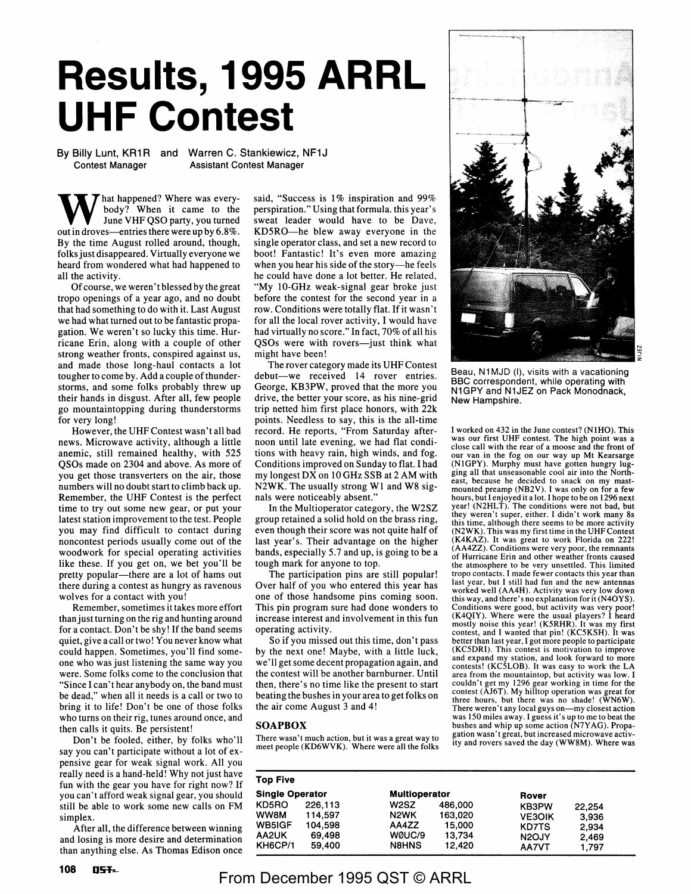## **Results, 1995 ARRL UHF Contest**

By Billy Lunt, KR1R and Warren C. Stankiewicz, NF1J Contest Manager Assistant Contest Manager

hat happened? Where was everybody? When it came to the June VHF QSO party, you turned out in droves—entries there were up by  $6.8\%$ . By the time August rolled around, though, folks just disappeared. Virtually everyone we heard from wondered what had happened to all the activity.

Of course, we weren't blessed by the great tropo openings of a year ago, and no doubt that had something to do with it. Last August we had what turned out to be fantastic propagation. We weren't so lucky this time. Hurricane Erin, along with a couple of other strong weather fronts, conspired against us, and made those Jong-haul contacts a lot tougher to come by. Add a couple of thunderstorms, and some folks probably threw up their hands in disgust. After all, few people go mountaintopping during thunderstorms for very long!

However, the UHF Contest wasn't all bad news. Microwave activity, although a little anemic, still remained healthy, with 525 QSOs made on 2304 and above. As more of you get those transverters on the air, those numbers will no doubt start to climb back up. Remember, the UHF Contest is the perfect time to try out some new gear, or put your latest station improvement to the test. People you may find difficult to contact during noncontest periods usually come out of the woodwork for special operating activities like these. If you get on, we bet you'll be pretty popular—there are a lot of hams out there during a contest as hungry as ravenous wolves for a contact with you!

Remember, sometimes it takes more effort than just turning on the rig and hunting around for a contact. Don't be shy! If the band seems quiet, give a call or two! You never know what could happen. Sometimes, you'll find someone who was just listening the same way you were. Some folks come to the conclusion that "Since I can't hear anybody on, the band must be dead," when all it needs is a call or two to bring it to life! Don't be one of those folks who turns on their rig, tunes around once, and then calls it quits. Be persistent!

Don't be fooled, either, by folks who'll say you can't participate without a lot of expensive gear for weak signal work. All you really need is a hand-held! Why not just have fun with the gear you have for right now? If you can't afford weak signal gear, you should still be able to work some new calls on FM simplex.

After all, the difference between winning and losing is more desire and determination than anything else. As Thomas Edison once said, "Success is 1% inspiration and 99% perspiration." Using that formula. this year's sweat leader would have to be Dave, KD5RO-he blew away everyone in the single operator class, and set a new record to boot! Fantastic! It's even more amazing when you hear his side of the story-he feels he could have done a lot better. He related, "My 10-GHz weak-signal gear broke just before the contest for the second year in a row. Conditions were totally flat. If it wasn't for all the local rover activity, I would have had virtually no score." In fact, 70% of all his QSOs were with rovers-just think what might have been!

The rover category made its UHF Contest debut--we received 14 rover entries. George, KB3PW, proved that the more you drive, the better your score, as his nine-grid trip netted him first place honors, with 22k points. Needless to say, this is the all-time record. He reports, "From Saturday afternoon until late evening, we had flat conditions with heavy rain, high winds, and fog. Conditions improved on Sunday to flat. I had my longest DX on 10 GHz SSB at 2 AM with N2WK. The usually strong Wl and W8 signals were noticeably absent."

In the Multioperator category, the W2SZ group retained a solid hold on the brass ring, even though their score was not quite half of last year's. Their advantage on the higher bands, especially 5.7 and up, is going to be a tough mark for anyone to top.

The participation pins are still popular! Over half of you who entered this year has one of those handsome pins coming soon. This pin program sure had done wonders to increase interest and involvement in this fun operating activity.

So if you missed out this time, don't pass by the next one! Maybe, with a little luck, we' II get some decent propagation again, and the contest will be another barnburner. Until then, there's no time like the present to start beating the bushes in your area to get folks on the air come August 3 and 4!

## **SOAPBOX**

There wasn't much action, but it was a great way to meet people (KD6WVK). Where were all the folks

au, N1 MJD (I), visits with a vacationing BBC correspondent, while operating with N1GPY and N1JEZ on Pack Monodnack, New Hampshire.

N w z

I worked on 432 in the June contest? (NIHO). This was our first UHF contest. The high point was a close call with the rear of a moose and the front of our van in the fog on our way up Mt Kearsarge (NlGPY). Murphy must have gotten hungry lugging all that unseasonable cool air into the Northeast, because he decided to snack on my mastmounted preamp (NB2V). I was only on for a few hours, but I enjoyed it a lot. I hope to be on 1296 next year! (N2HLT). The conditions were not bad, but they weren't super, either. I didn't work many 8s this time, although there seems to be more activity (N2WK). This was my first time in the UHF Contest **(K4KAZ). It** was great to work Florida on 222 ! (AA4ZZ). Conditions were very poor, the remnants of Hurricane Erin and other weather fronts caused the atmosphere to be very unsettled. This limited tropo contacts. I made fewer contacts this year than last year, but I still had fun and the new antennas worked well (AA4H). Activity was very low down this way, and there's no explanation for it (N4OYS). Conditions were good, but activity was very poor! (K4QIY). Where were the usual players? I heard mostly noise this year! (K5RHR). It was my first contest, and I wanted that pin! (KC5KSH). It was better than last year, I got more people to participate (KC5DRI). This contest is motivation to improve and expand my station, and look forward to more contests! (KC5LOB). It was easy to work the LA area from the mountaintop, but activity was low. I couldn't get my 1296 gear working in time for the contest (AJ6T). My hilltop operation was great for three hours, but there was no shade! **(WN6W).**  There weren't any local guys on-my closest action was 150 miles away. I guess it's up to me to beat the bushes and whip up some action (N7Y AG). Propagation wasn't great, but increased microwave activity and rovers saved the day (WWSM). Where was

| <b>Top Five</b>        |         |                      |         |                    |        |
|------------------------|---------|----------------------|---------|--------------------|--------|
| <b>Single Operator</b> |         | <b>Multioperator</b> |         | Rover              |        |
| KD5RO                  | 226,113 | W <sub>2</sub> SZ    | 486,000 | <b>KB3PW</b>       | 22.254 |
| WW8M                   | 114.597 | N <sub>2</sub> WK    | 163,020 | <b>VE3OIK</b>      | 3.936  |
| <b>WB5IGF</b>          | 104.598 | AA4ZZ                | 15.000  | <b>KD7TS</b>       | 2.934  |
| AA2UK                  | 69.498  | WØUC/9               | 13.734  | N <sub>2</sub> OJY | 2.469  |
| KH6CP/1                | 59.400  | <b>N8HNS</b>         | 12.420  | <b>AA7VT</b>       | 1.797  |